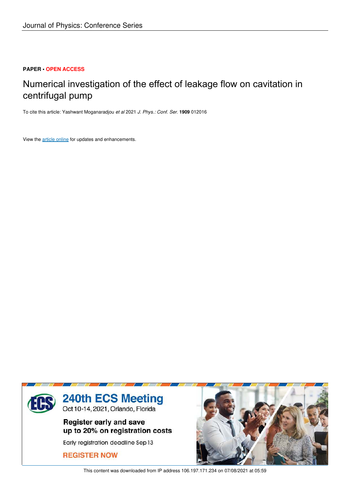## **PAPER • OPEN ACCESS**

# Numerical investigation of the effect of leakage flow on cavitation in centrifugal pump

To cite this article: Yashwant Moganaradjou *et al* 2021 *J. Phys.: Conf. Ser.* **1909** 012016

View the article online for updates and enhancements.



This content was downloaded from IP address 106.197.171.234 on 07/08/2021 at 05:59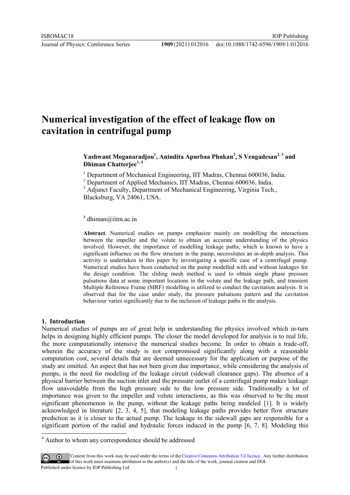# **Numerical investigation of the effect of leakage flow on cavitation in centrifugal pump**

**Yashwant Moganaradjou<sup>1</sup> , Anindita Apurbaa Phukan<sup>2</sup> , S Vengadesan2, 3 and Dhiman Chatterjee1, <sup>4</sup>**

<sup>1</sup> Department of Mechanical Engineering, IIT Madras, Chennai 600036, India.

<sup>2</sup> Department of Applied Mechanics, IIT Madras, Chennai 600036, India.

<sup>3</sup> Adjunct Faculty, Department of Mechanical Engineering, Virginia Tech., Blacksburg, VA 24061, USA.

<sup>4</sup> dhiman@iitm.ac.in

**Abstract**. Numerical studies on pumps emphasize mainly on modelling the interactions between the impeller and the volute to obtain an accurate understanding of the physics involved. However, the importance of modelling leakage paths, which is known to have a significant influence on the flow structure in the pump, necessitates an in-depth analysis. This activity is undertaken in this paper by investigating a specific case of a centrifugal pump. Numerical studies have been conducted on the pump modelled with and without leakages for the design condition. The sliding mesh method is used to obtain single phase pressure pulsations data at some important locations in the volute and the leakage path, and transient Multiple Reference Frame (MRF) modelling is utilized to conduct the cavitation analysis. It is observed that for the case under study, the pressure pulsations pattern and the cavitation behaviour varies significantly due to the inclusion of leakage paths in the analysis.

#### **1. Introduction**

 $\ddot{\phantom{a}}$ 

Numerical studies of pumps are of great help in understanding the physics involved which in-turn helps in designing highly efficient pumps. The closer the model developed for analysis is to real life, the more computationally intensive the numerical studies become. In order to obtain a trade-off, wherein the accuracy of the study is not compromised significantly along with a reasonable computation cost, several details that are deemed unnecessary for the application or purpose of the study are omitted. An aspect that has not been given due importance, while considering the analysis of pumps, is the need for modeling of the leakage circuit (sidewall clearance gaps). The absence of a physical barrier between the suction inlet and the pressure outlet of a centrifugal pump makes leakage flow unavoidable from the high pressure side to the low pressure side. Traditionally a lot of importance was given to the impeller and volute interactions, as this was observed to be the most significant phenomenon in the pump, without the leakage paths being modeled [1]. It is widely acknowledged in literature [2, 3, 4, 5], that modeling leakage paths provides better flow structure prediction as it is closer to the actual pump. The leakage in the sidewall gaps are responsible for a significant portion of the radial and hydraulic forces induced in the pump [6, 7, 8]. Modeling this

<sup>&</sup>lt;sup>4</sup> Author to whom any correspondence should be addressed

Content from this work may be used under the terms of the Creative Commons Attribution 3.0 licence. Any further distribution of this work must maintain attribution to the author(s) and the title of the work, journal citation and DOI. Published under licence by IOP Publishing Ltd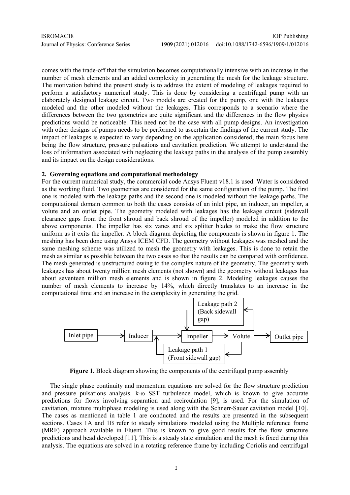comes with the trade-off that the simulation becomes computationally intensive with an increase in the number of mesh elements and an added complexity in generating the mesh for the leakage structure. The motivation behind the present study is to address the extent of modeling of leakages required to perform a satisfactory numerical study. This is done by considering a centrifugal pump with an elaborately designed leakage circuit. Two models are created for the pump, one with the leakages modeled and the other modeled without the leakages. This corresponds to a scenario where the differences between the two geometries are quite significant and the differences in the flow physics predictions would be noticeable. This need not be the case with all pump designs. An investigation with other designs of pumps needs to be performed to ascertain the findings of the current study. The impact of leakages is expected to vary depending on the application considered; the main focus here being the flow structure, pressure pulsations and cavitation prediction. We attempt to understand the loss of information associated with neglecting the leakage paths in the analysis of the pump assembly and its impact on the design considerations.

#### **2. Governing equations and computational methodology**

For the current numerical study, the commercial code Ansys Fluent v18.1 is used. Water is considered as the working fluid. Two geometries are considered for the same configuration of the pump. The first one is modeled with the leakage paths and the second one is modeled without the leakage paths. The computational domain common to both the cases consists of an inlet pipe, an inducer, an impeller, a volute and an outlet pipe. The geometry modeled with leakages has the leakage circuit (sidewall clearance gaps from the front shroud and back shroud of the impeller) modeled in addition to the above components. The impeller has six vanes and six splitter blades to make the flow structure uniform as it exits the impeller. A block diagram depicting the components is shown in figure 1. The meshing has been done using Ansys ICEM CFD. The geometry without leakages was meshed and the same meshing scheme was utilized to mesh the geometry with leakages. This is done to retain the mesh as similar as possible between the two cases so that the results can be compared with confidence. The mesh generated is unstructured owing to the complex nature of the geometry. The geometry with leakages has about twenty million mesh elements (not shown) and the geometry without leakages has about seventeen million mesh elements and is shown in figure 2. Modeling leakages causes the number of mesh elements to increase by 14%, which directly translates to an increase in the computational time and an increase in the complexity in generating the grid.



**Figure 1.** Block diagram showing the components of the centrifugal pump assembly

The single phase continuity and momentum equations are solved for the flow structure prediction and pressure pulsations analysis. k-ω SST turbulence model, which is known to give accurate predictions for flows involving separation and recirculation [9], is used. For the simulation of cavitation, mixture multiphase modeling is used along with the Schnerr-Sauer cavitation model [10]. The cases as mentioned in table 1 are conducted and the results are presented in the subsequent sections. Cases 1A and 1B refer to steady simulations modeled using the Multiple reference frame (MRF) approach available in Fluent. This is known to give good results for the flow structure predictions and head developed [11]. This is a steady state simulation and the mesh is fixed during this analysis. The equations are solved in a rotating reference frame by including Coriolis and centrifugal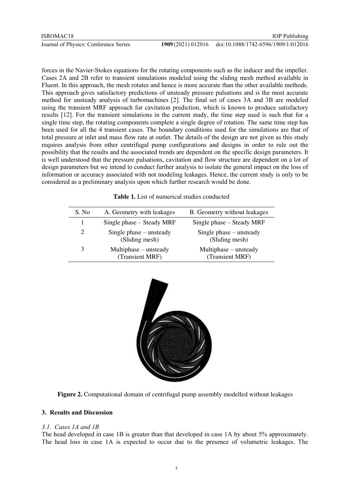forces in the Navier-Stokes equations for the rotating components such as the inducer and the impeller. Cases 2A and 2B refer to transient simulations modeled using the sliding mesh method available in Fluent. In this approach, the mesh rotates and hence is more accurate than the other available methods. This approach gives satisfactory predictions of unsteady pressure pulsations and is the most accurate method for unsteady analysis of turbomachines [2]. The final set of cases 3A and 3B are modeled using the transient MRF approach for cavitation prediction, which is known to produce satisfactory results [12]. For the transient simulations in the current study, the time step used is such that for a single time step, the rotating components complete a single degree of rotation. The same time step has been used for all the 4 transient cases. The boundary conditions used for the simulations are that of total pressure at inlet and mass flow rate at outlet. The details of the design are not given as this study requires analysis from other centrifugal pump configurations and designs in order to rule out the possibility that the results and the associated trends are dependent on the specific design parameters. It is well understood that the pressure pulsations, cavitation and flow structure are dependent on a lot of design parameters but we intend to conduct further analysis to isolate the general impact on the loss of information or accuracy associated with not modeling leakages. Hence, the current study is only to be considered as a preliminary analysis upon which further research would be done.

**Table 1.** List of numerical studies conducted

| S. No | A. Geometry with leakages                   | B. Geometry without leakages                |
|-------|---------------------------------------------|---------------------------------------------|
|       | Single phase – Steady MRF                   | Single phase – Steady MRF                   |
| 2     | Single phase $-$ unsteady<br>(Sliding mesh) | Single phase $-$ unsteady<br>(Sliding mesh) |
| 3     | $Multiphase - unsteady$<br>(Transient MRF)  | Multiphase – unsteady<br>(Transient MRF)    |



**Figure 2.** Computational domain of centrifugal pump assembly modelled without leakages

## **3. Results and Discussion**

## *3.1. Cases 1A and 1B*

The head developed in case 1B is greater than that developed in case 1A by about 5% approximately. The head loss in case 1A is expected to occur due to the presence of volumetric leakages. The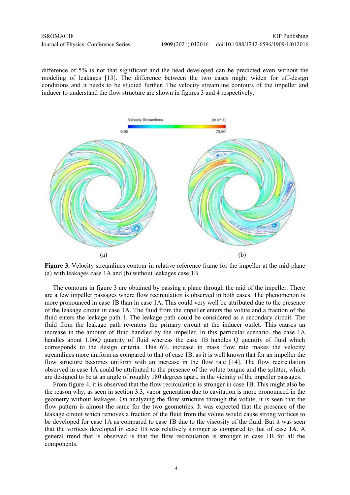difference of 5% is not that significant and the head developed can be predicted even without the modeling of leakages [13]. The difference between the two cases might widen for off-design conditions and it needs to be studied further. The velocity streamline contours of the impeller and inducer to understand the flow structure are shown in figures 3 and 4 respectively.



**Figure 3.** Velocity streamlines contour in relative reference frame for the impeller at the mid-plane (a) with leakages case 1A and (b) without leakages case 1B

The contours in figure 3 are obtained by passing a plane through the mid of the impeller. There are a few impeller passages where flow recirculation is observed in both cases. The phenomenon is more pronounced in case 1B than in case 1A. This could very well be attributed due to the presence of the leakage circuit in case 1A. The fluid from the impeller enters the volute and a fraction of the fluid enters the leakage path 1. The leakage path could be considered as a secondary circuit. The fluid from the leakage path re-enters the primary circuit at the inducer outlet. This causes an increase in the amount of fluid handled by the impeller. In this particular scenario, the case 1A handles about 1.06Q quantity of fluid whereas the case 1B handles Q quantity of fluid which corresponds to the design criteria. This 6% increase in mass flow rate makes the velocity streamlines more uniform as compared to that of case 1B, as it is well known that for an impeller the flow structure becomes uniform with an increase in the flow rate [14]. The flow recirculation observed in case 1A could be attributed to the presence of the volute tongue and the splitter, which are designed to be at an angle of roughly 180 degrees apart, in the vicinity of the impeller passages.

From figure 4, it is observed that the flow recirculation is stronger in case 1B. This might also be the reason why, as seen in section 3.3, vapor generation due to cavitation is more pronounced in the geometry without leakages. On analyzing the flow structure through the volute, it is seen that the flow pattern is almost the same for the two geometries. It was expected that the presence of the leakage circuit which removes a fraction of the fluid from the volute would cause strong vortices to be developed for case 1A as compared to case 1B due to the viscosity of the fluid. But it was seen that the vortices developed in case 1B was relatively stronger as compared to that of case 1A. A general trend that is observed is that the flow recirculation is stronger in case 1B for all the components.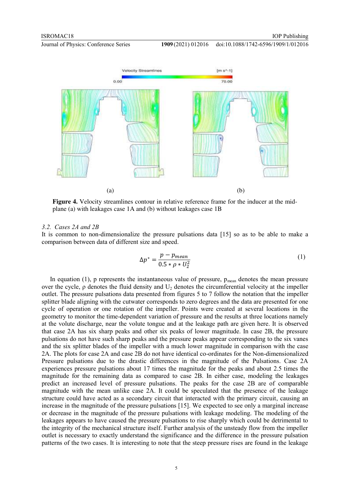

**Figure 4.** Velocity streamlines contour in relative reference frame for the inducer at the midplane (a) with leakages case 1A and (b) without leakages case 1B

### *3.2. Cases 2A and 2B*

It is common to non-dimensionalize the pressure pulsations data [15] so as to be able to make a comparison between data of different size and speed.

$$
\Delta p^* = \frac{p - p_{mean}}{0.5 * \rho * U_2^2} \tag{1}
$$

In equation (1), p represents the instantaneous value of pressure,  $p_{mean}$  denotes the mean pressure over the cycle,  $\rho$  denotes the fluid density and U<sub>2</sub> denotes the circumferential velocity at the impeller outlet. The pressure pulsations data presented from figures 5 to 7 follow the notation that the impeller splitter blade aligning with the cutwater corresponds to zero degrees and the data are presented for one cycle of operation or one rotation of the impeller. Points were created at several locations in the geometry to monitor the time-dependent variation of pressure and the results at three locations namely at the volute discharge, near the volute tongue and at the leakage path are given here. It is observed that case 2A has six sharp peaks and other six peaks of lower magnitude. In case 2B, the pressure pulsations do not have such sharp peaks and the pressure peaks appear corresponding to the six vanes and the six splitter blades of the impeller with a much lower magnitude in comparison with the case 2A. The plots for case 2A and case 2B do not have identical co-ordinates for the Non-dimensionalized Pressure pulsations due to the drastic differences in the magnitude of the Pulsations. Case 2A experiences pressure pulsations about 17 times the magnitude for the peaks and about 2.5 times the magnitude for the remaining data as compared to case 2B. In either case, modeling the leakages predict an increased level of pressure pulsations. The peaks for the case 2B are of comparable magnitude with the mean unlike case 2A. It could be speculated that the presence of the leakage structure could have acted as a secondary circuit that interacted with the primary circuit, causing an increase in the magnitude of the pressure pulsations [15]. We expected to see only a marginal increase or decrease in the magnitude of the pressure pulsations with leakage modeling. The modeling of the leakages appears to have caused the pressure pulsations to rise sharply which could be detrimental to the integrity of the mechanical structure itself. Further analysis of the unsteady flow from the impeller outlet is necessary to exactly understand the significance and the difference in the pressure pulsation patterns of the two cases. It is interesting to note that the steep pressure rises are found in the leakage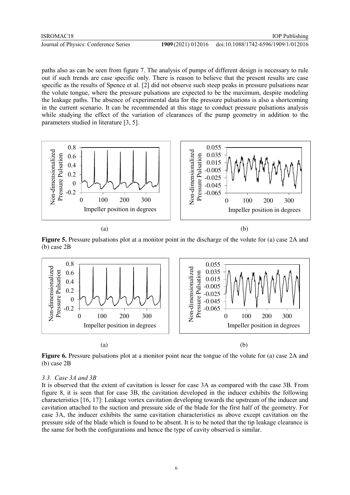paths also as can be seen from figure 7. The analysis of pumps of different design is necessary to rule out if such trends are case specific only. There is reason to believe that the present results are case specific as the results of Spence et al. [2] did not observe such steep peaks in pressure pulsations near the volute tongue, where the pressure pulsations are expected to be the maximum, despite modeling the leakage paths. The absence of experimental data for the pressure pulsations is also a shortcoming in the current scenario. It can be recommended at this stage to conduct pressure pulsations analysis while studying the effect of the variation of clearances of the pump geometry in addition to the parameters studied in literature [3, 5].



 $(a)$  (b)

**Figure 5.** Pressure pulsations plot at a monitor point in the discharge of the volute for (a) case 2A and (b) case 2B



**Figure 6.** Pressure pulsations plot at a monitor point near the tongue of the volute for (a) case 2A and (b) case 2B

### *3.3. Case 3A and 3B*

It is observed that the extent of cavitation is lesser for case 3A as compared with the case 3B. From figure 8, it is seen that for case 3B, the cavitation developed in the inducer exhibits the following characteristics [16, 17]: Leakage vortex cavitation developing towards the upstream of the inducer and cavitation attached to the suction and pressure side of the blade for the first half of the geometry. For case 3A, the inducer exhibits the same cavitation characteristics as above except cavitation on the pressure side of the blade which is found to be absent. It is to be noted that the tip leakage clearance is the same for both the configurations and hence the type of cavity observed is similar.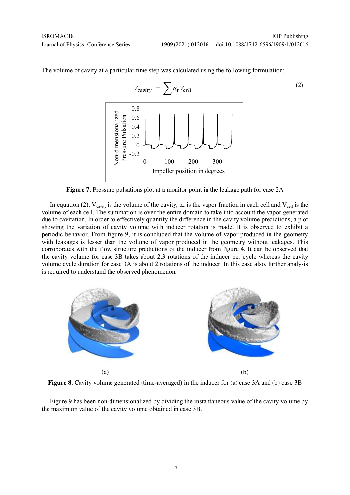(2)

 $V_{cavity} = \sum \alpha_v V_{cell}$ 0.8 Non-dimensionalized Non-dimensionalized Pressure Pulsation Pressure Pulsation 0.6 0.4 0.2 0 -0.2 0 100 200 300 Impeller position in degrees

The volume of cavity at a particular time step was calculated using the following formulation:

**Figure 7.** Pressure pulsations plot at a monitor point in the leakage path for case 2A

In equation (2),  $V_{\text{cavity}}$  is the volume of the cavity,  $\alpha_v$  is the vapor fraction in each cell and  $V_{\text{cell}}$  is the volume of each cell. The summation is over the entire domain to take into account the vapor generated due to cavitation. In order to effectively quantify the difference in the cavity volume predictions, a plot showing the variation of cavity volume with inducer rotation is made. It is observed to exhibit a periodic behavior. From figure 9, it is concluded that the volume of vapor produced in the geometry with leakages is lesser than the volume of vapor produced in the geometry without leakages. This corroborates with the flow structure predictions of the inducer from figure 4. It can be observed that the cavity volume for case 3B takes about 2.3 rotations of the inducer per cycle whereas the cavity volume cycle duration for case 3A is about 2 rotations of the inducer. In this case also, further analysis is required to understand the observed phenomenon.



Figure 8. Cavity volume generated (time-averaged) in the inducer for (a) case 3A and (b) case 3B

Figure 9 has been non-dimensionalized by dividing the instantaneous value of the cavity volume by the maximum value of the cavity volume obtained in case 3B.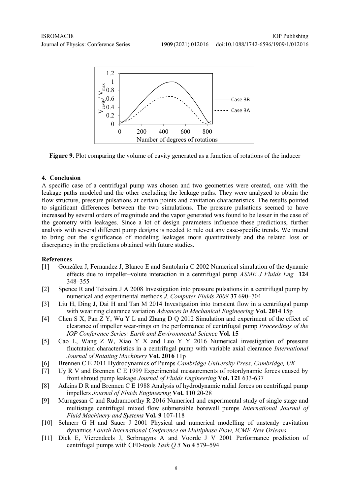



**Figure 9.** Plot comparing the volume of cavity generated as a function of rotations of the inducer

### **4. Conclusion**

A specific case of a centrifugal pump was chosen and two geometries were created, one with the leakage paths modeled and the other excluding the leakage paths. They were analyzed to obtain the flow structure, pressure pulsations at certain points and cavitation characteristics. The results pointed to significant differences between the two simulations. The pressure pulsations seemed to have increased by several orders of magnitude and the vapor generated was found to be lesser in the case of the geometry with leakages. Since a lot of design parameters influence these predictions, further analysis with several different pump designs is needed to rule out any case-specific trends. We intend to bring out the significance of modeling leakages more quantitatively and the related loss or discrepancy in the predictions obtained with future studies.

## **References**

- [1] Gonzàlez J, Fernandez J, Blanco E and Santolaria C 2002 Numerical simulation of the dynamic effects due to impeller–volute interaction in a centrifugal pump *ASME J Fluids Eng* **124**  348–355
- [2] Spence R and Teixeira J A 2008 Investigation into pressure pulsations in a centrifugal pump by numerical and experimental methods *J. Computer Fluids 2008* **37** 690–704
- [3] Liu H, Ding J, Dai H and Tan M 2014 Investigation into transient flow in a centrifugal pump with wear ring clearance variation *Advances in Mechanical Engineering* **Vol. 2014** 15p
- [4] Chen S X, Pan Z Y, Wu Y L and Zhang D Q 2012 Simulation and experiment of the effect of clearance of impeller wear-rings on the performance of centrifugal pump *Proceedings of the IOP Conference Series: Earth and Environmental Science* **Vol. 15**
- [5] Cao L, Wang Z W, Xiao Y X and Luo Y Y 2016 Numerical investigation of pressure fluctutaion characteristics in a centrifugal pump with variable axial clearance *International Journal of Rotating Machinery* **Vol. 2016** 11p
- [6] Brennen C E 2011 Hydrodynamics of Pumps *Cambridge University Press, Cambridge, UK*
- [7] Uy R V and Brennen C E 1999 Experimental mesaurements of rotordynamic forces caused by front shroud pump leakage *Journal of Fluids Engineering* **Vol. 121** 633-637
- [8] Adkins D R and Brennen C E 1988 Analysis of hydrodynamic radial forces on centrifugal pump impellers *Journal of Fluids Engineering* **Vol. 110** 20-28
- [9] Murugesan C and Rudramoorthy R 2016 Numerical and experimental study of single stage and multistage centrifugal mixed flow submersible borewell pumps *International Journal of Fluid Machinery and Systems* **Vol. 9** 107-118
- [10] Schnerr G H and Sauer J 2001 Physical and numerical modelling of unsteady cavitation dynamics *Fourth International Conference on Multiphase Flow, ICMF New Orleans*
- [11] Dick E, Vierendeels J, Serbrugyns A and Voorde J V 2001 Performance prediction of centrifugal pumps with CFD-tools *Task Q 5* **No 4** 579–594